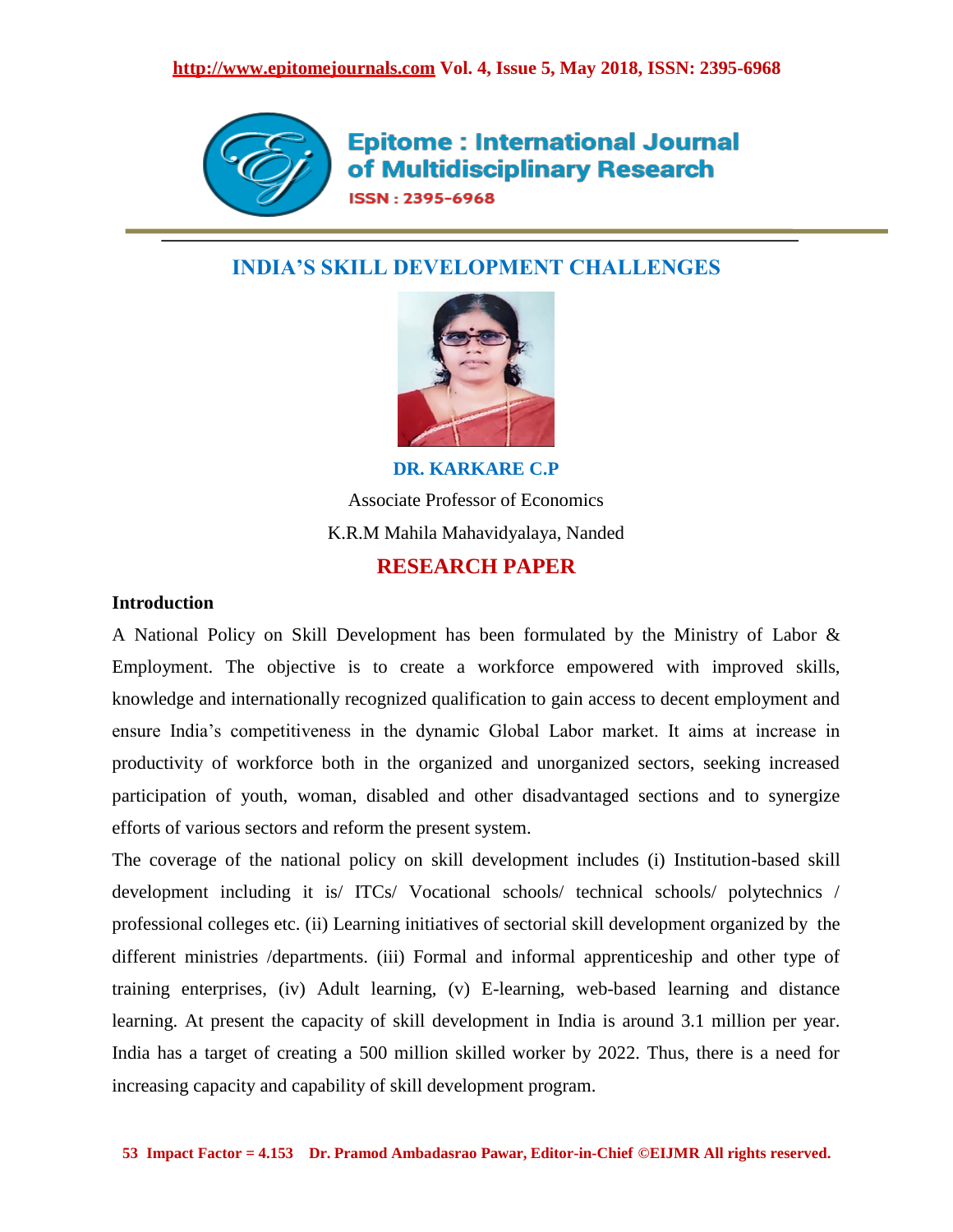

**Epitome: International Journal** of Multidisciplinary Research **ISSN: 2395-6968** 

# **INDIA'S SKILL DEVELOPMENT CHALLENGES**



**DR. KARKARE C.P** Associate Professor of Economics K.R.M Mahila Mahavidyalaya, Nanded **RESEARCH PAPER**

# **Introduction**

A National Policy on Skill Development has been formulated by the Ministry of Labor & Employment. The objective is to create a workforce empowered with improved skills, knowledge and internationally recognized qualification to gain access to decent employment and ensure India"s competitiveness in the dynamic Global Labor market. It aims at increase in productivity of workforce both in the organized and unorganized sectors, seeking increased participation of youth, woman, disabled and other disadvantaged sections and to synergize efforts of various sectors and reform the present system.

The coverage of the national policy on skill development includes (i) Institution-based skill development including it is/ ITCs/ Vocational schools/ technical schools/ polytechnics / professional colleges etc. (ii) Learning initiatives of sectorial skill development organized by the different ministries /departments. (iii) Formal and informal apprenticeship and other type of training enterprises, (iv) Adult learning, (v) E-learning, web-based learning and distance learning. At present the capacity of skill development in India is around 3.1 million per year. India has a target of creating a 500 million skilled worker by 2022. Thus, there is a need for increasing capacity and capability of skill development program.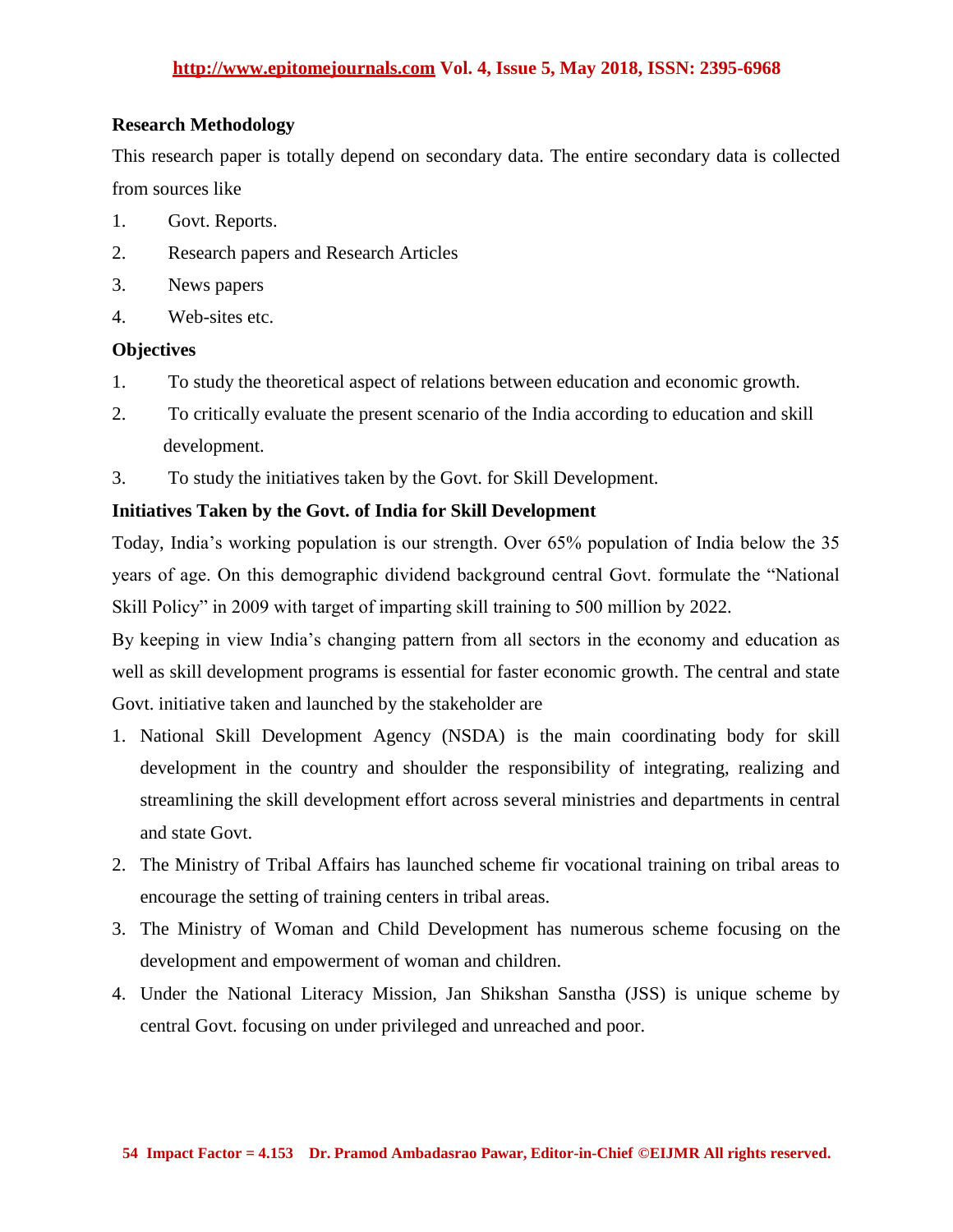## **http://www.epitomejournals.com Vol. 4, Issue 5, May 2018, ISSN: 2395-6968**

## **Research Methodology**

This research paper is totally depend on secondary data. The entire secondary data is collected from sources like

- 1. Govt. Reports.
- 2. Research papers and Research Articles
- 3. News papers
- 4. Web-sites etc.

## **Objectives**

- 1. To study the theoretical aspect of relations between education and economic growth.
- 2. To critically evaluate the present scenario of the India according to education and skill development.
- 3. To study the initiatives taken by the Govt. for Skill Development.

## **Initiatives Taken by the Govt. of India for Skill Development**

Today, India"s working population is our strength. Over 65% population of India below the 35 years of age. On this demographic dividend background central Govt. formulate the "National Skill Policy" in 2009 with target of imparting skill training to 500 million by 2022.

By keeping in view India's changing pattern from all sectors in the economy and education as well as skill development programs is essential for faster economic growth. The central and state Govt. initiative taken and launched by the stakeholder are

- 1. National Skill Development Agency (NSDA) is the main coordinating body for skill development in the country and shoulder the responsibility of integrating, realizing and streamlining the skill development effort across several ministries and departments in central and state Govt.
- 2. The Ministry of Tribal Affairs has launched scheme fir vocational training on tribal areas to encourage the setting of training centers in tribal areas.
- 3. The Ministry of Woman and Child Development has numerous scheme focusing on the development and empowerment of woman and children.
- 4. Under the National Literacy Mission, Jan Shikshan Sanstha (JSS) is unique scheme by central Govt. focusing on under privileged and unreached and poor.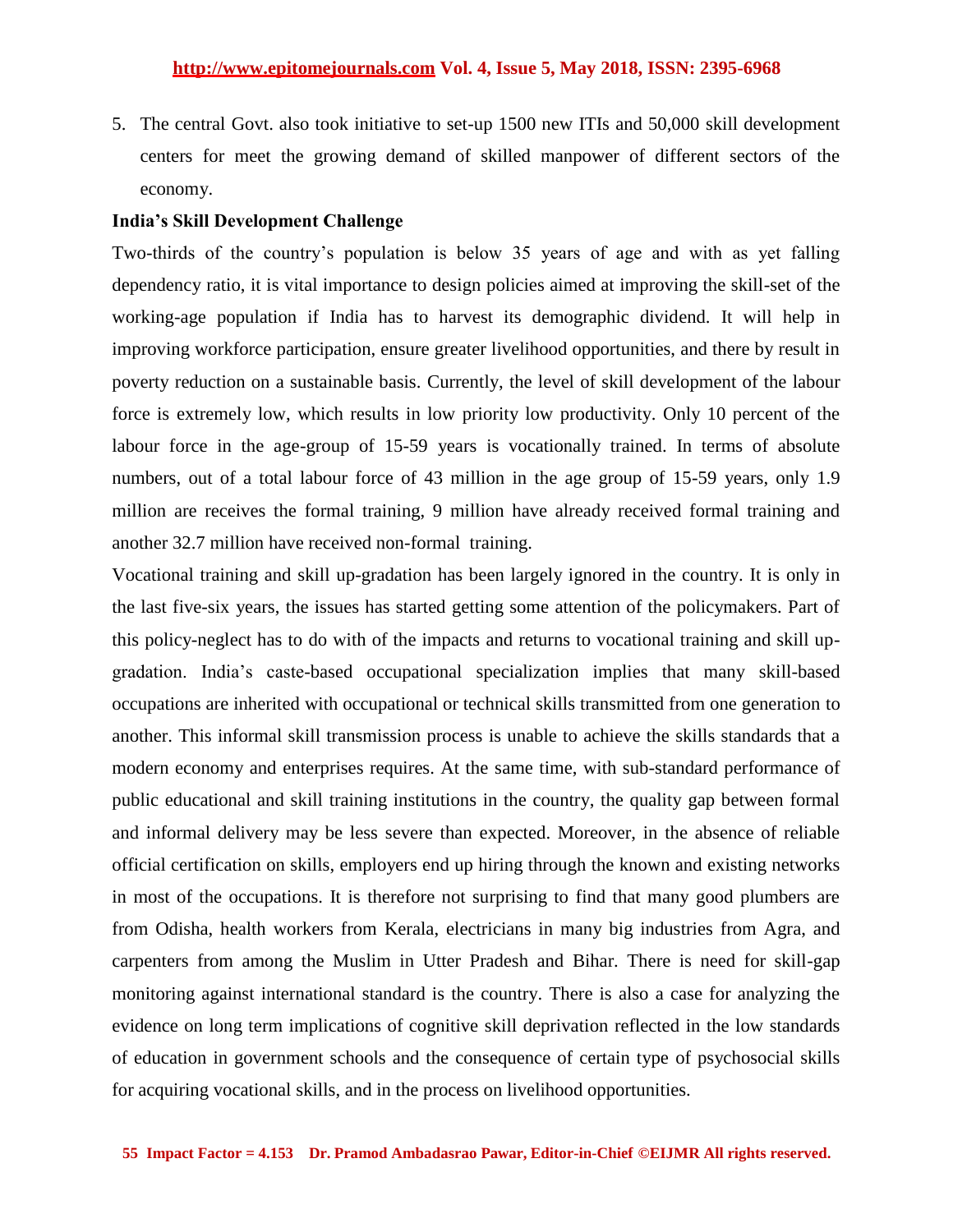5. The central Govt. also took initiative to set-up 1500 new ITIs and 50,000 skill development centers for meet the growing demand of skilled manpower of different sectors of the economy.

#### **India's Skill Development Challenge**

Two-thirds of the country"s population is below 35 years of age and with as yet falling dependency ratio, it is vital importance to design policies aimed at improving the skill-set of the working-age population if India has to harvest its demographic dividend. It will help in improving workforce participation, ensure greater livelihood opportunities, and there by result in poverty reduction on a sustainable basis. Currently, the level of skill development of the labour force is extremely low, which results in low priority low productivity. Only 10 percent of the labour force in the age-group of 15-59 years is vocationally trained. In terms of absolute numbers, out of a total labour force of 43 million in the age group of 15-59 years, only 1.9 million are receives the formal training, 9 million have already received formal training and another 32.7 million have received non-formal training.

Vocational training and skill up-gradation has been largely ignored in the country. It is only in the last five-six years, the issues has started getting some attention of the policymakers. Part of this policy-neglect has to do with of the impacts and returns to vocational training and skill upgradation. India"s caste-based occupational specialization implies that many skill-based occupations are inherited with occupational or technical skills transmitted from one generation to another. This informal skill transmission process is unable to achieve the skills standards that a modern economy and enterprises requires. At the same time, with sub-standard performance of public educational and skill training institutions in the country, the quality gap between formal and informal delivery may be less severe than expected. Moreover, in the absence of reliable official certification on skills, employers end up hiring through the known and existing networks in most of the occupations. It is therefore not surprising to find that many good plumbers are from Odisha, health workers from Kerala, electricians in many big industries from Agra, and carpenters from among the Muslim in Utter Pradesh and Bihar. There is need for skill-gap monitoring against international standard is the country. There is also a case for analyzing the evidence on long term implications of cognitive skill deprivation reflected in the low standards of education in government schools and the consequence of certain type of psychosocial skills for acquiring vocational skills, and in the process on livelihood opportunities.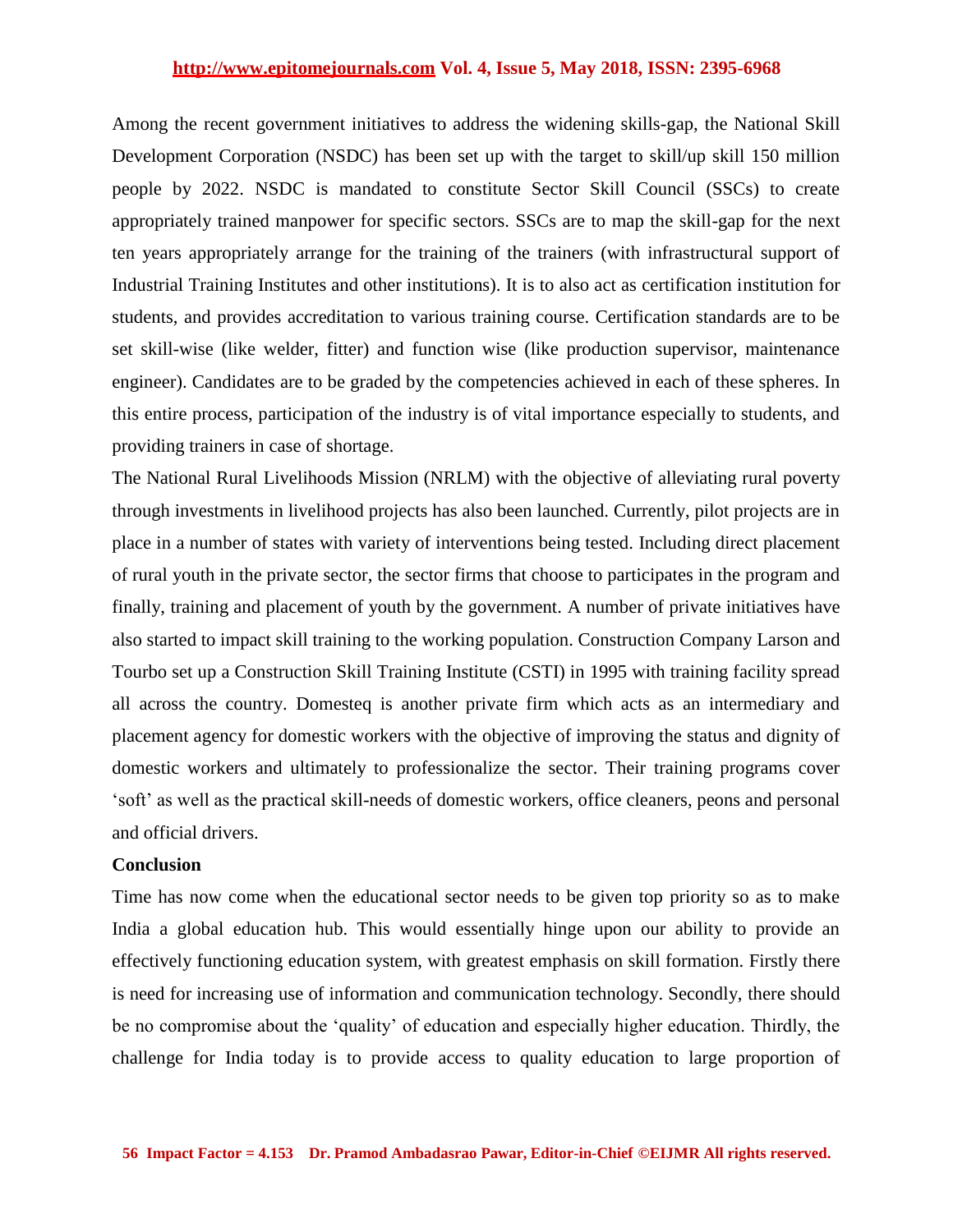#### **http://www.epitomejournals.com Vol. 4, Issue 5, May 2018, ISSN: 2395-6968**

Among the recent government initiatives to address the widening skills-gap, the National Skill Development Corporation (NSDC) has been set up with the target to skill/up skill 150 million people by 2022. NSDC is mandated to constitute Sector Skill Council (SSCs) to create appropriately trained manpower for specific sectors. SSCs are to map the skill-gap for the next ten years appropriately arrange for the training of the trainers (with infrastructural support of Industrial Training Institutes and other institutions). It is to also act as certification institution for students, and provides accreditation to various training course. Certification standards are to be set skill-wise (like welder, fitter) and function wise (like production supervisor, maintenance engineer). Candidates are to be graded by the competencies achieved in each of these spheres. In this entire process, participation of the industry is of vital importance especially to students, and providing trainers in case of shortage.

The National Rural Livelihoods Mission (NRLM) with the objective of alleviating rural poverty through investments in livelihood projects has also been launched. Currently, pilot projects are in place in a number of states with variety of interventions being tested. Including direct placement of rural youth in the private sector, the sector firms that choose to participates in the program and finally, training and placement of youth by the government. A number of private initiatives have also started to impact skill training to the working population. Construction Company Larson and Tourbo set up a Construction Skill Training Institute (CSTI) in 1995 with training facility spread all across the country. Domesteq is another private firm which acts as an intermediary and placement agency for domestic workers with the objective of improving the status and dignity of domestic workers and ultimately to professionalize the sector. Their training programs cover "soft" as well as the practical skill-needs of domestic workers, office cleaners, peons and personal and official drivers.

#### **Conclusion**

Time has now come when the educational sector needs to be given top priority so as to make India a global education hub. This would essentially hinge upon our ability to provide an effectively functioning education system, with greatest emphasis on skill formation. Firstly there is need for increasing use of information and communication technology. Secondly, there should be no compromise about the "quality" of education and especially higher education. Thirdly, the challenge for India today is to provide access to quality education to large proportion of